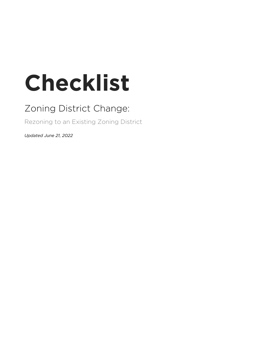# **Checklist**

## Zoning District Change:

Rezoning to an Existing Zoning District

*Updated June 21, 2022*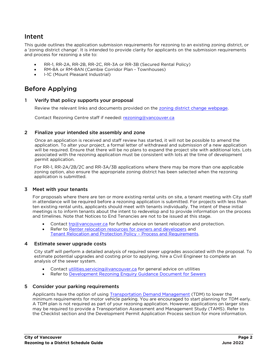### Intent

This guide outlines the application submission requirements for rezoning to an existing zoning district, or a 'zoning district change'. It is intended to provide clarity for applicants on the submission requirements and process for rezoning a site to:

- RR-1, RR-2A, RR-2B, RR-2C, RR-3A or RR-3B (Secured Rental Policy)
- RM-8A or RM-8AN (Cambie Corridor Plan Townhouses)
- I-1C (Mount Pleasant Industrial)

## Before Applying

#### 1 Verify that policy supports your proposal

Review the relevant links and documents provided on the [zoning district change webpage.](https://vancouver.ca/zoningdistrictchange)

Contact Rezoning Centre staff if needed: [rezoning@vancouver.ca](mailto:rezoning@vancouver.ca)

#### 2 Finalize your intended site assembly and zone

Once an application is received and staff review has started, it will not be possible to amend the application. To alter your project, a formal letter of withdrawal and submission of a new application will be required. Ensure that there will be no plans to expand the project site with additional lots. Lots associated with the rezoning application must be consistent with lots at the time of development permit application.

For RR-1, RR-2A/2B/2C and RR-3A/3B applications where there may be more than one applicable zoning option, also ensure the appropriate zoning district has been selected when the rezoning application is submitted.

#### 3 Meet with your tenants

For proposals where there are ten or more existing rental units on site, a tenant meeting with City staff in attendance will be required before a rezoning application is submitted. For projects with less than ten existing rental units, applicants should meet with tenants individually. The intent of these initial meetings is to inform tenants about the intent to redevelop and to provide information on the process and timelines. Note that Notices to End Tenancies are not to be issued at this stage.

- Contact [trp@vancouver.ca](mailto:trp@vancouver.ca) for further advice on tenant relocation and protection.
- Refer to [Renter relocation resources for owners and developers](https://vancouver.ca/people-programs/tenant-relocation-resources-for-owners-and-developers.aspx) and [Tenant Relocation and Protection Policy](https://vancouver.ca/files/cov/tenant-relocation-and-protection-policy-process-and-requirements.pdf) – Process and Requirements.

#### 4 Estimate sewer upgrade costs

City staff will perform a detailed analysis of required sewer upgrades associated with the proposal. To estimate potential upgrades and costing prior to applying, hire a Civil Engineer to complete an analysis of the sewer system.

- Contact [utilities.servicing@vancouver.ca](mailto:utilities.servicing@vancouver.ca) for general advice on utilities
- Refer to [Development Rezoning Enquiry Guidance Document for Sewers](https://rezoning.vancouver.ca/applications/documents/rezoning-enquiry-guidance-for-sewers.pdf)

#### 5 Consider your parking requirements

Applicants have the option of using [Transportation Demand Management](https://vancouver.ca/your-government/parking-bylaw.aspx) (TDM) to lower the minimum requirements for motor vehicle parking. You are encouraged to start planning for TDM early. A TDM plan is not required as part of your rezoning application. However, applications on larger sites may be required to provide a Transportation Assessment and Management Study (TAMS). Refer to the Checklist section and the Development Permit Application Process section for more information.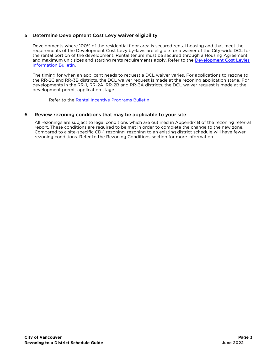#### 5 Determine Development Cost Levy waiver eligibility

Developments where 100% of the residential floor area is secured rental housing and that meet the requirements of the Development Cost Levy by-laws are eligible for a waiver of the City-wide DCL for the rental portion of the development. Rental tenure must be secured through a Housing Agreement, and maximum unit sizes and starting rents requirements apply. Refer to the [Development Cost Levies](https://vancouver.ca/files/cov/development-cost-levies-bulletin.pdf)  [Information Bulletin.](https://vancouver.ca/files/cov/development-cost-levies-bulletin.pdf)

The timing for when an applicant needs to request a DCL waiver varies. For applications to rezone to the RR-2C and RR-3B districts, the DCL waiver request is made at the rezoning application stage. For developments in the RR-1, RR-2A, RR-2B and RR-3A districts, the DCL waiver request is made at the development permit application stage.

Refer to the [Rental Incentive Programs Bulletin.](https://bylaws.vancouver.ca/bulletin/bulletin-rental-incentive-programs.pdf)

#### 6 Review rezoning conditions that may be applicable to your site

All rezonings are subject to legal conditions which are outlined in Appendix B of the rezoning referral report. These conditions are required to be met in order to complete the change to the new zone. Compared to a site-specific CD-1 rezoning, rezoning to an existing district schedule will have fewer rezoning conditions. Refer to the Rezoning Conditions section for more information.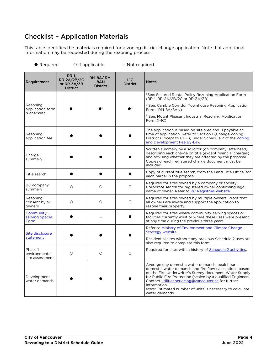## Checklist – Application Materials

This table identifies the materials required for a zoning district change application. Note that additional information may be requested during the rezoning process.

● Required ○ If applicable -- Not required

| Requirement                                 | <b>RR-1.</b><br><b>RR-2A/2B/2C</b><br>or $RR-3A/3B$<br><b>District</b> | RM-8A/RM-<br>8AN<br><b>District</b> | $I-1C$<br><b>District</b> | <b>Notes</b>                                                                                                                                                                                                                                                                                                                                                                               |
|---------------------------------------------|------------------------------------------------------------------------|-------------------------------------|---------------------------|--------------------------------------------------------------------------------------------------------------------------------------------------------------------------------------------------------------------------------------------------------------------------------------------------------------------------------------------------------------------------------------------|
|                                             |                                                                        |                                     |                           | <sup>1</sup> See: Secured Rental Policy Rezoning Application Form<br>(RR-1, RR-2A/2B/2C or RR-3A/3B)                                                                                                                                                                                                                                                                                       |
| Rezoning<br>application form<br>& checklist |                                                                        | $\sqrt{2}$                          | 3                         | <sup>2</sup> See: Cambie Corridor Townhouse Rezoning Application<br>Form (RM-8A/8AN)                                                                                                                                                                                                                                                                                                       |
|                                             |                                                                        |                                     |                           | <sup>3</sup> See: Mount Pleasant Industrial Rezoning Application<br>Form $(I-1C)$                                                                                                                                                                                                                                                                                                          |
| Rezoning<br>application fee                 |                                                                        |                                     |                           | The application is based on site area and is payable at<br>time of application. Refer to Section 1 (Change Zoning)<br>District (Except to CD-1)) under Schedule 2 of the Zoning<br>and Development Fee By-Law.                                                                                                                                                                             |
| Charge<br>summary                           |                                                                        |                                     |                           | Written summary by a solicitor (on company letterhead)<br>describing each charge on title (except financial charges)<br>and advising whether they are affected by the proposal.<br>Copies of each registered charge document must be<br>included.                                                                                                                                          |
| Title search                                |                                                                        |                                     |                           | Copy of current title search, from the Land Title Office, for<br>each parcel in the proposal.                                                                                                                                                                                                                                                                                              |
| BC company<br>summary                       | $\bigcirc$                                                             | $\circ$                             | $\bigcirc$                | Required for sites owned by a company or society.<br>Corporate search for registered owner confirming legal<br>name of owner. Refer to BC Registries website.                                                                                                                                                                                                                              |
| Rezoning<br>consent by all<br>owners        | $\bigcirc$                                                             | $\bigcirc$                          | $\bigcirc$                | Required for sites owned by multiple owners. Proof that<br>all owners are aware and support the application to<br>rezone their property.                                                                                                                                                                                                                                                   |
| Community-<br>serving Spaces<br>Form        |                                                                        |                                     |                           | Required for sites where community-serving spaces or<br>facilities currently exist or where these uses were present<br>at any time during the previous three years.                                                                                                                                                                                                                        |
| Site disclosure                             |                                                                        |                                     |                           | Refer to Ministry of Environment and Climate Change<br>Strategy website.                                                                                                                                                                                                                                                                                                                   |
| statement                                   |                                                                        |                                     |                           | Residential sites without any previous Schedule 2 uses are<br>also required to complete this form.                                                                                                                                                                                                                                                                                         |
| Phase 1<br>environmental<br>site assessment | $\circ$                                                                | $\circ$                             | $\circ$                   | Required for sites with a history of Schedule 2 activities.                                                                                                                                                                                                                                                                                                                                |
| Development<br>water demands                |                                                                        |                                     |                           | Average day domestic water demands, peak hour<br>domestic water demands and fire flow calculations based<br>on the Fire Underwriter's Survey document, Water Supply<br>for Public Fire Protection (sealed by a qualified Engineer).<br>Contact utilities.servicing@vancouver.ca for further<br>information.<br>Note: Estimated number of units is necessary to calculate<br>water demands. |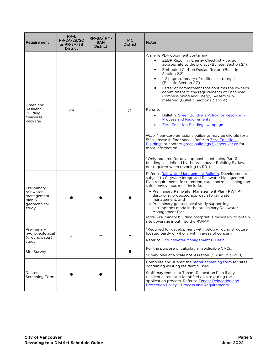| Requirement                                                               | RR-1.<br>RR-2A/2B/2C<br>or RR-3A/3B<br><b>District</b> | RM-8A/RM-<br>8AN<br><b>District</b> | $I-1C$<br><b>District</b> | <b>Notes</b>                                                                                                                                                                                                                                                                                                                                                                                                                                                                                                                                                                                                                                                                                                                                                                                                                                                                                                                                                                             |
|---------------------------------------------------------------------------|--------------------------------------------------------|-------------------------------------|---------------------------|------------------------------------------------------------------------------------------------------------------------------------------------------------------------------------------------------------------------------------------------------------------------------------------------------------------------------------------------------------------------------------------------------------------------------------------------------------------------------------------------------------------------------------------------------------------------------------------------------------------------------------------------------------------------------------------------------------------------------------------------------------------------------------------------------------------------------------------------------------------------------------------------------------------------------------------------------------------------------------------|
| Green and<br>Resilient<br><b>Building</b><br>Measures<br>Package          | O <sup>1</sup>                                         |                                     | O <sup>1</sup>            | A single PDF document containing:<br>ZEBP Rezoning Energy Checklist - version<br>$\bullet$<br>appropriate to the project (Bulletin Section 2.1)<br>Embodied Carbon Design Report (Bulletin<br>Section 2.2)<br>1-2 page summary of resilience strategies<br>(Bulletin Section 2.3)<br>Letter of commitment that confirms the owner's<br>commitment to the requirements of Enhanced<br>Commissioning and Energy System Sub-<br>metering (Bulletin Sections 3 and 4)<br>Refer to:<br>Bulletin: Green Buildings Policy for Rezoning -<br>$\bullet$<br><b>Process and Requirements</b><br>Zero Emission Buildings webpage<br>Note: Near-zero emissions buildings may be eligible for a<br>5% increase in floor space. Refer to Zero Emissions<br>Buildings or contact green.buildings@vancouver.ca for<br>more information.<br><sup>1</sup> Only required for developments containing Part 3<br>buildings as defined by the Vancouver Building By-law;<br>not required when rezoning to RR-1. |
| Preliminary<br>rainwater<br>management<br>plan &<br>geotechnical<br>study |                                                        |                                     |                           | Refer to Rainwater Management Bulletin. Developments<br>subject to Citywide Integrated Rainwater Management<br>Plan requirements for retention, rate control, cleaning and<br>safe conveyance, must include:<br>• Preliminary Rainwater Management Plan (RWMP)<br>describing proposed approach to rainwater<br>management; and<br>• Preliminary geotechnical study supporting<br>assumptions made in the preliminary Rainwater<br>Management Plan.<br>Note: Preliminary building footprint is necessary to obtain<br>site coverage input into the RWMP.                                                                                                                                                                                                                                                                                                                                                                                                                                  |
| Preliminary<br>hydrogeological<br>(groundwater)<br>study                  | O <sup>1</sup>                                         |                                     |                           | $^1$ Required for development with below-ground structure<br>located partly or wholly within areas of concern.<br>Refer to Groundwater Management Bulletin.                                                                                                                                                                                                                                                                                                                                                                                                                                                                                                                                                                                                                                                                                                                                                                                                                              |
| Site Survey                                                               |                                                        |                                     |                           | For the purpose of calculating applicable CACs.<br>Survey plan at a scale not less than 1/16"=1'-0" (1:200).                                                                                                                                                                                                                                                                                                                                                                                                                                                                                                                                                                                                                                                                                                                                                                                                                                                                             |
| Renter<br>Screening Form                                                  |                                                        |                                     |                           | Complete and submit the renter screening form for sites<br>containing existing residential uses.<br>Staff may request a Tenant Relocation Plan if any<br>residential tenant is identified on site during the<br>application process. Refer to Tenant Relocation and<br>Protection Policy - Process and Requirements.                                                                                                                                                                                                                                                                                                                                                                                                                                                                                                                                                                                                                                                                     |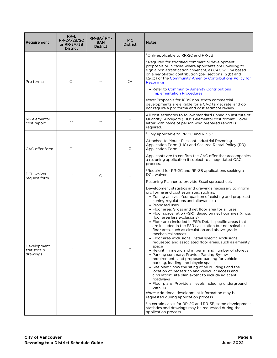| Requirement                             | RR-1.<br>RR-2A/2B/2C<br>or $RR-3A/3B$<br><b>District</b> | RM-8A/RM-<br>8AN<br><b>District</b> | $I-1C$<br><b>District</b> | <b>Notes</b>                                                                                                                                                                                                                                                                                                                                                                                                                                                                                                                                                                                                                                                                                                                                                                                                                                                                                                                                                                                                                                                                                                                                                                                                                                                                                                                                                                                      |
|-----------------------------------------|----------------------------------------------------------|-------------------------------------|---------------------------|---------------------------------------------------------------------------------------------------------------------------------------------------------------------------------------------------------------------------------------------------------------------------------------------------------------------------------------------------------------------------------------------------------------------------------------------------------------------------------------------------------------------------------------------------------------------------------------------------------------------------------------------------------------------------------------------------------------------------------------------------------------------------------------------------------------------------------------------------------------------------------------------------------------------------------------------------------------------------------------------------------------------------------------------------------------------------------------------------------------------------------------------------------------------------------------------------------------------------------------------------------------------------------------------------------------------------------------------------------------------------------------------------|
|                                         |                                                          |                                     |                           | <sup>1</sup> Only applicable to RR-2C and RR-3B                                                                                                                                                                                                                                                                                                                                                                                                                                                                                                                                                                                                                                                                                                                                                                                                                                                                                                                                                                                                                                                                                                                                                                                                                                                                                                                                                   |
| Pro forma                               | O <sup>1</sup>                                           |                                     | O <sup>2</sup>            | <sup>2</sup> Required for stratified commercial development<br>proposals or in cases where applicants are unwilling to<br>sign a non-stratification covenant, as CAC will be based<br>on a negotiated contribution (per sections 1.2(b) and<br>1.2(c)) of the Community Amenity Contributions Policy for<br>Rezonings.                                                                                                                                                                                                                                                                                                                                                                                                                                                                                                                                                                                                                                                                                                                                                                                                                                                                                                                                                                                                                                                                            |
|                                         |                                                          |                                     |                           | • Refer to Community Amenity Contributions<br><b>Implementation Procedures</b>                                                                                                                                                                                                                                                                                                                                                                                                                                                                                                                                                                                                                                                                                                                                                                                                                                                                                                                                                                                                                                                                                                                                                                                                                                                                                                                    |
|                                         |                                                          |                                     |                           | <i>Note:</i> Proposals for 100% non-strata commercial<br>developments are eligible for a CAC target rate, and do<br>not require a pro forma and cost estimate review.                                                                                                                                                                                                                                                                                                                                                                                                                                                                                                                                                                                                                                                                                                                                                                                                                                                                                                                                                                                                                                                                                                                                                                                                                             |
| QS elemental<br>cost report             |                                                          |                                     | $\circ$                   | All cost estimates to follow standard Canadian Institute of<br>Quantity Surveyors (CIQS) elemental cost format. Cover<br>letter with name of person who prepared report is<br>required.                                                                                                                                                                                                                                                                                                                                                                                                                                                                                                                                                                                                                                                                                                                                                                                                                                                                                                                                                                                                                                                                                                                                                                                                           |
|                                         |                                                          |                                     |                           | <sup>1</sup> Only applicable to RR-2C and RR-3B.                                                                                                                                                                                                                                                                                                                                                                                                                                                                                                                                                                                                                                                                                                                                                                                                                                                                                                                                                                                                                                                                                                                                                                                                                                                                                                                                                  |
| CAC offer form                          | O <sup>1</sup>                                           |                                     | $\circ$                   | Attached to Mount Pleasant Industrial Rezoning<br>Application Form (I-1C) and Secured Rental Policy (RR)<br>Application Form.                                                                                                                                                                                                                                                                                                                                                                                                                                                                                                                                                                                                                                                                                                                                                                                                                                                                                                                                                                                                                                                                                                                                                                                                                                                                     |
|                                         |                                                          |                                     |                           | Applicants are to confirm the CAC offer that accompanies<br>a rezoning application if subject to a negotiated CAC<br>process.                                                                                                                                                                                                                                                                                                                                                                                                                                                                                                                                                                                                                                                                                                                                                                                                                                                                                                                                                                                                                                                                                                                                                                                                                                                                     |
| DCL waiver<br>request form              | O <sup>1</sup>                                           | $\circ$                             |                           | <sup>1</sup> Required for RR-2C and RR-3B applications seeking a<br>DCL waiver.                                                                                                                                                                                                                                                                                                                                                                                                                                                                                                                                                                                                                                                                                                                                                                                                                                                                                                                                                                                                                                                                                                                                                                                                                                                                                                                   |
|                                         |                                                          |                                     |                           | Rezoning Planner to provide Excel spreadsheet.                                                                                                                                                                                                                                                                                                                                                                                                                                                                                                                                                                                                                                                                                                                                                                                                                                                                                                                                                                                                                                                                                                                                                                                                                                                                                                                                                    |
| Development<br>statistics &<br>drawings | O <sup>1</sup>                                           |                                     | $\circ$                   | Development statistics and drawings necessary to inform<br>pro forma and cost estimates, such as:<br>• Zoning analysis (comparison of existing and proposed<br>zoning regulations and allowances)<br>• Proposed uses<br>• Floor area: Gross and net floor area for all uses<br>• Floor space ratio (FSR): Based on net floor area (gross<br>floor area less exclusions)<br>• Floor area included in FSR: Detail specific areas that<br>are included in the FSR calculation but not saleable<br>floor area, such as circulation and above-grade<br>mechanical spaces<br>• Floor area exclusions: Detail specific exclusions<br>requested and associated floor areas, such as amenity<br>space<br>• Height: In metric and imperial, and number of storeys<br>• Parking summary: Provide Parking By-law<br>requirements and proposed parking for vehicle<br>parking, loading and bicycle spaces<br>• Site plan: Show the siting of all buildings and the<br>location of pedestrian and vehicular access and<br>circulation; site plan extent to include adjacent<br>roadways<br>• Floor plans: Provide all levels including underground<br>parking<br>Note: Additional development information may be<br>requested during application process.<br><sup>1</sup> In certain cases for RR-2C and RR-3B, some development<br>statistics and drawings may be requested during the<br>application process. |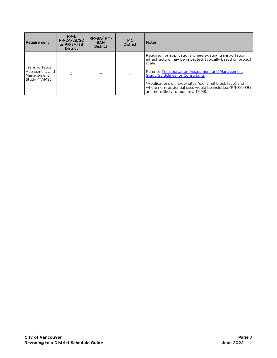| Requirement                                                    | RR-1.<br>RR-2A/2B/2C<br>or $RR-3A/3B$<br><b>District</b> | RM-8A/RM-<br>8AN<br><b>District</b> | $I-1C$<br><b>District</b> | <b>Notes</b>                                                                                                                                                                                                                                                                                                                                                                                                |
|----------------------------------------------------------------|----------------------------------------------------------|-------------------------------------|---------------------------|-------------------------------------------------------------------------------------------------------------------------------------------------------------------------------------------------------------------------------------------------------------------------------------------------------------------------------------------------------------------------------------------------------------|
| Transportation<br>Assessment and<br>Management<br>Study (TAMS) | $\cap$                                                   |                                     | О                         | Required for applications where existing transportation<br>infrastructure may be impacted; typically based on project<br>scale.<br>Refer to Transportation Assessment and Management<br><b>Study Guidelines for Consultants.</b><br><sup>1</sup> Applications on larger sites (e.g. a full block face) and<br>where non-residential uses would be included (RR-3A/3B)<br>are more likely to require a TAMS. |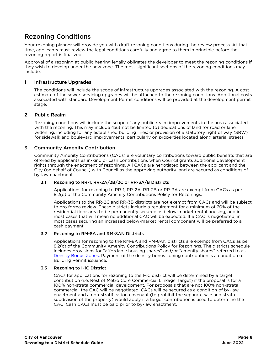## Rezoning Conditions

Your rezoning planner will provide you with draft rezoning conditions during the review process. At that time, applicants must review the legal conditions carefully and agree to them in principle before the rezoning report is finalized.

Approval of a rezoning at public hearing legally obligates the developer to meet the rezoning conditions if they wish to develop under the new zone. The most significant sections of the rezoning conditions may include:

#### 1 Infrastructure Upgrades

The conditions will include the scope of infrastructure upgrades associated with the rezoning. A cost estimate of the sewer servicing upgrades will be attached to the rezoning conditions. Additional costs associated with standard Development Permit conditions will be provided at the development permit stage.

#### 2 Public Realm

Rezoning conditions will include the scope of any public realm improvements in the area associated with the rezoning. This may include (but not be limited to) dedications of land for road or lane widening, including for any established building lines; or provision of a statutory right of way (SRW) for sidewalk and boulevard improvements, particularly on properties located along arterial streets.

#### 3 Community Amenity Contribution

Community Amenity Contributions (CACs) are voluntary contributions toward public benefits that are offered by applicants as in-kind or cash contributions when Council grants additional development rights through the enactment of rezonings. All CACs are negotiated between the applicant and the City (on behalf of Council) with Council as the approving authority, and are secured as conditions of by-law enactment.

#### 3.1 Rezoning to RR-1, RR-2A/2B/2C or RR-3A/B Districts

 Applications for rezoning to RR-1, RR-2A, RR-2B or RR-3A are exempt from CACs as per 8.2(e) of the Community Amenity Contributions Policy for Rezonings.

Applications to the RR-2C and RR-3B districts are not exempt from CACs and will be subject to pro forma review. These districts include a requirement for a minimum of 20% of the residential floor area to be permanently secured as below-market rental housing, and in most cases that will mean no additional CAC will be expected. If a CAC is negotiated, in most cases securing an increased below-market rental component will be preferred to a cash payment.

#### 3.2 Rezoning to RM-8A and RM-8AN Districts

Applications for rezoning to the RM-8A and RM-8AN districts are exempt from CACs as per 8.2(c) of the Community Amenity Contributions Policy for Rezonings. The districts schedule includes provisions for "affordable housing shares" and/or "amenity shares" referred to as [Density Bonus Zones.](https://vancouver.ca/files/cov/density-bonus-zoning-bulletin.pdf) Payment of the density bonus zoning contribution is a condition of Building Permit issuance.

#### 3.3 Rezoning to I-1C District

CACs for applications for rezoning to the I-1C district will be determined by a target contribution (i.e. Rest of Metro Core Commercial Linkage Target) if the proposal is for a 100% non-strata commercial development. For proposals that are not 100% non-strata commercial, the CAC will be negotiated. CACs will be secured as a condition of by-law enactment and a non-stratification covenant (to prohibit the separate sale and strata subdivision of the property) would apply if a target contribution is used to determine the CAC. Cash CACs must be paid prior to by-law enactment.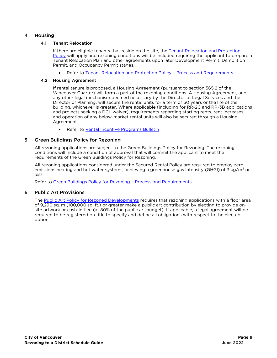#### 4 Housing

#### 4.1 Tenant Relocation

If there are eligible tenants that reside on the site, the [Tenant Relocation and Protection](https://guidelines.vancouver.ca/policy-tenant-relocation-protection-for-rezonings.pdf)  [Policy](https://guidelines.vancouver.ca/policy-tenant-relocation-protection-for-rezonings.pdf) will apply and rezoning conditions will be included requiring the applicant to prepare a Tenant Relocation Plan and other agreements upon later Development Permit, Demolition Permit, and Occupancy Permit stages.

Refer to [Tenant Relocation and Protection Policy](https://vancouver.ca/files/cov/tenant-relocation-and-protection-policy-process-and-requirements.pdf) – Process and Requirements

#### 4.2 Housing Agreement

If rental tenure is proposed, a Housing Agreement (pursuant to section 565.2 of the Vancouver Charter) will form a part of the rezoning conditions. A Housing Agreement, and any other legal mechanism deemed necessary by the Director of Legal Services and the Director of Planning, will secure the rental units for a term of 60 years or the life of the building, whichever is greater. Where applicable (including for RR-2C and RR-3B applications and projects seeking a DCL waiver), requirements regarding starting rents, rent increases, and operation of any below-market rental units will also be secured through a Housing Agreement.

• Refer to [Rental Incentive Programs Bulletin](https://bylaws.vancouver.ca/bulletin/bulletin-rental-incentive-programs.pdf)

#### 5 Green Buildings Policy for Rezoning

All rezoning applications are subject to the Green Buildings Policy for Rezoning. The rezoning conditions will include a condition of approval that will commit the applicant to meet the requirements of the Green Buildings Policy for Rezoning.

All rezoning applications considered under the Secured Rental Policy are required to employ zero emissions heating and hot water systems, achieving a greenhouse gas intensity (GHGI) of 3 kg/m<sup>2</sup> or less.

Refer to [Green Buildings Policy for Rezoning](https://bylaws.vancouver.ca/Bulletin/bulletin-green-buildings-policy-for-rezoning.pdf) – Process and Requirements

#### 6 Public Art Provisions

The [Public Art Policy for Rezoned Developments](https://vancouver.ca/files/cov/public-art-policy-and-procedures-for-rezoned-developments.pdf) requires that rezoning applications with a floor area of 9,290 sq. m (100,000 sq. ft.) or greater make a public art contribution by electing to provide onsite artwork or cash-in-lieu (at 80% of the public art budget). If applicable, a legal agreement will be required to be registered on title to specify and define all obligations with respect to the elected option.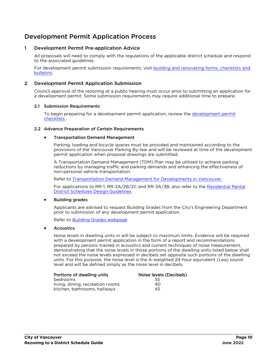## Development Permit Application Process

#### 1 Development Permit Pre-application Advice

All proposals will need to comply with the regulations of the applicable district schedule and respond to the associated guidelines.

For development permit submission requirements, visit [building and renovating forms, checklists](https://vancouver.ca/home-property-development/application-forms-and-checklists.aspx) and [bulletins.](https://vancouver.ca/home-property-development/application-forms-and-checklists.aspx)

#### 2 Development Permit Application Submission

Council approval of the rezoning at a public hearing must occur prior to submitting an application for a development permit. Some submission requirements may require additional time to prepare.

#### 2.1 Submission Requirements

To begin preparing for a development permit application, review the [development permit](https://vancouver.ca/home-property-development/application-forms-and-checklists.aspx)  [checklists](https://vancouver.ca/home-property-development/application-forms-and-checklists.aspx) .

#### 2.2 Advance Preparation of Certain Requirements

#### Transportation Demand Management

Parking, loading and bicycle spaces must be provided and maintained according to the provisions of the Vancouver Parking By-law and will be reviewed at time of the development permit application when proposal drawings are submitted.

A Transportation Demand Management (TDM) Plan may be utilized to achieve parking reductions by managing traffic and parking demands and enhancing the effectiveness of non-personal vehicle transportation.

Refer to [Transportation Demand Management for Developments in Vancouver.](https://vancouver.ca/files/cov/transportation-demand-management-for-developments-in-vancouver.pdf)

For applications to RR-1, RR-2A/2B/2C and RR-3A/3B, also refer to the Residential Rental [District Schedules Design Guidelines](https://guidelines.vancouver.ca/guidelines-rr-districts.pdf)

#### Building grades

Applicants are advised to request Building Grades from the City's Engineering Department prior to submission of any development permit application.

Refer to [Building Grades webpage](https://vancouver.ca/home-property-development/building-grades-for-sidewalk-and-street-elevation.aspx)

#### **Acoustics**

Noise levels in dwelling units in will be subject to maximum limits. Evidence will be required with a development permit application in the form of a report and recommendations prepared by persons trained in acoustics and current techniques of noise measurement, demonstrating that the noise levels in those portions of the dwelling units listed below shall not exceed the noise levels expressed in decibels set opposite such portions of the dwelling units. For this purpose, the noise level is the A-weighted 24-hour equivalent (Leq) sound level and will be defined simply as the noise level in decibels.

| Portions of dwelling units       | Noise levels (Decibels) |
|----------------------------------|-------------------------|
| bedrooms                         | .35                     |
| living, dining, recreation rooms | 40                      |
| kitchen, bathrooms, hallways     | 45                      |